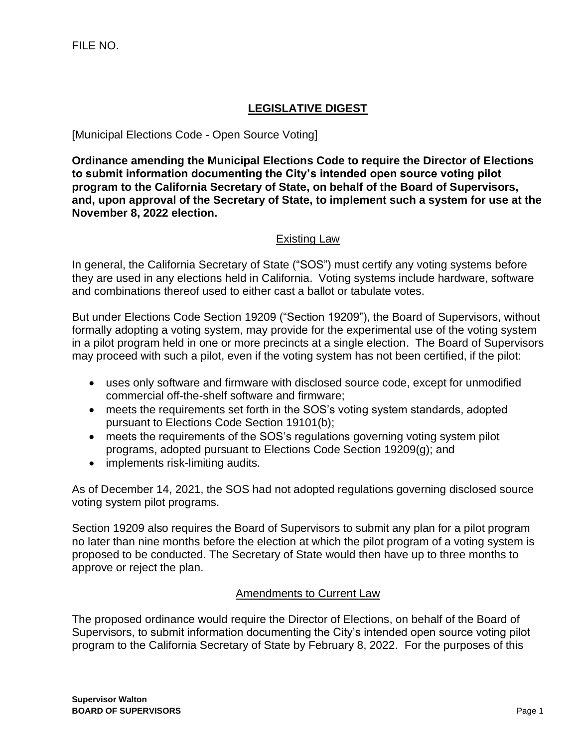## **LEGISLATIVE DIGEST**

[Municipal Elections Code - Open Source Voting]

**Ordinance amending the Municipal Elections Code to require the Director of Elections to submit information documenting the City's intended open source voting pilot program to the California Secretary of State, on behalf of the Board of Supervisors, and, upon approval of the Secretary of State, to implement such a system for use at the November 8, 2022 election.**

## Existing Law

In general, the California Secretary of State ("SOS") must certify any voting systems before they are used in any elections held in California. Voting systems include hardware, software and combinations thereof used to either cast a ballot or tabulate votes.

But under Elections Code Section 19209 ("Section 19209"), the Board of Supervisors, without formally adopting a voting system, may provide for the experimental use of the voting system in a pilot program held in one or more precincts at a single election. The Board of Supervisors may proceed with such a pilot, even if the voting system has not been certified, if the pilot:

- uses only software and firmware with disclosed source code, except for unmodified commercial off-the-shelf software and firmware;
- meets the requirements set forth in the SOS's voting system standards, adopted pursuant to Elections Code Section 19101(b);
- meets the requirements of the SOS's regulations governing voting system pilot programs, adopted pursuant to Elections Code Section 19209(g); and
- implements risk-limiting audits.

As of December 14, 2021, the SOS had not adopted regulations governing disclosed source voting system pilot programs.

Section 19209 also requires the Board of Supervisors to submit any plan for a pilot program no later than nine months before the election at which the pilot program of a voting system is proposed to be conducted. The Secretary of State would then have up to three months to approve or reject the plan.

## Amendments to Current Law

The proposed ordinance would require the Director of Elections, on behalf of the Board of Supervisors, to submit information documenting the City's intended open source voting pilot program to the California Secretary of State by February 8, 2022. For the purposes of this